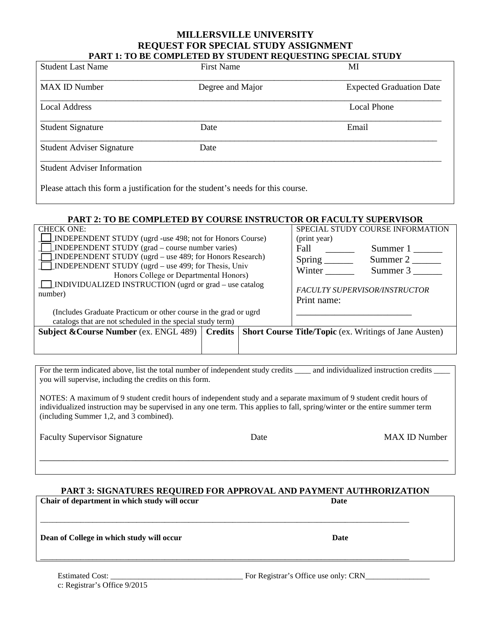## **MILLERSVILLE UNIVERSITY REQUEST FOR SPECIAL STUDY ASSIGNMENT PART 1: TO BE COMPLETED BY STUDENT REQUESTING SPECIAL STUDY**

| <b>Student Last Name</b>           | <b>First Name</b>                                                                | MI                              |
|------------------------------------|----------------------------------------------------------------------------------|---------------------------------|
| <b>MAX ID Number</b>               | Degree and Major                                                                 | <b>Expected Graduation Date</b> |
| <b>Local Address</b>               |                                                                                  | Local Phone                     |
| <b>Student Signature</b>           | Date                                                                             | Email                           |
| <b>Student Adviser Signature</b>   | Date                                                                             |                                 |
| <b>Student Adviser Information</b> |                                                                                  |                                 |
|                                    | Please attach this form a justification for the student's needs for this course. |                                 |

### **PART 2: TO BE COMPLETED BY COURSE INSTRUCTOR OR FACULTY SUPERVISOR**

| <b>CHECK ONE:</b>                                                | SPECIAL STUDY COURSE INFORMATION                              |
|------------------------------------------------------------------|---------------------------------------------------------------|
| <b>INDEPENDENT STUDY</b> (ugrd -use 498; not for Honors Course)  | (print year)                                                  |
| INDEPENDENT STUDY (grad – course number varies)                  | Fall<br>Summer 1                                              |
| <b>LINDEPENDENT STUDY</b> (ugrd – use 489; for Honors Research)  | Spring $\overline{\phantom{a}}$<br>Summer 2                   |
| <b>INDEPENDENT STUDY</b> (ugrd – use 499; for Thesis, Univ       | Winter<br>Summer 3                                            |
| Honors College or Departmental Honors)                           |                                                               |
| $\Box$ INDIVIDUALIZED INSTRUCTION (ugrd or grad – use catalog    | <b>FACULTY SUPERVISOR/INSTRUCTOR</b>                          |
| number)                                                          |                                                               |
|                                                                  | Print name:                                                   |
| (Includes Graduate Practicum or other course in the grad or ugrd |                                                               |
| catalogs that are not scheduled in the special study term)       |                                                               |
| <b>Subject &amp; Course Number</b> (ex. ENGL 489) Credits        | <b>Short Course Title/Topic (ex. Writings of Jane Austen)</b> |
|                                                                  |                                                               |
|                                                                  |                                                               |

For the term indicated above, list the total number of independent study credits \_\_\_\_\_ and individualized instruction credits \_ you will supervise, including the credits on this form.

NOTES: A maximum of 9 student credit hours of independent study and a separate maximum of 9 student credit hours of individualized instruction may be supervised in any one term. This applies to fall, spring/winter or the entire summer term (including Summer 1,2, and 3 combined).

Faculty Supervisor Signature **Example 2018** Date MAX ID Number

# **PART 3: SIGNATURES REQUIRED FOR APPROVAL AND PAYMENT AUTHRORIZATION**

\_\_\_\_\_\_\_\_\_\_\_\_\_\_\_\_\_\_\_\_\_\_\_\_\_\_\_\_\_\_\_\_\_\_\_\_\_\_\_\_\_\_\_\_\_\_\_\_\_\_\_\_\_\_\_\_\_\_\_\_\_\_\_\_\_\_\_\_\_\_\_\_\_\_\_\_\_\_\_\_\_\_\_\_\_

**Chair of department in which study will occur Date** \_\_\_\_\_\_\_\_\_\_\_\_\_\_\_\_\_\_\_\_\_\_\_\_\_\_\_\_\_\_\_\_\_\_\_\_\_\_\_\_\_\_\_\_\_\_\_\_\_\_\_\_\_\_\_\_\_\_\_\_\_\_\_\_\_\_\_\_\_\_\_\_\_\_\_\_\_\_\_\_\_\_\_\_\_\_\_\_\_\_\_\_ **Dean of College in which study will occur Date in the U.S. School of College in which study will occur** Date \_\_\_\_\_\_\_\_\_\_\_\_\_\_\_\_\_\_\_\_\_\_\_\_\_\_\_\_\_\_\_\_\_\_\_\_\_\_\_\_\_\_\_\_\_\_\_\_\_\_\_\_\_\_\_\_\_\_\_\_\_\_\_\_\_\_\_\_\_\_\_\_\_\_\_\_\_\_\_\_\_\_\_\_\_\_\_\_\_\_\_\_

c: Registrar's Office 9/2015

Estimated Cost: \_\_\_\_\_\_\_\_\_\_\_\_\_\_\_\_\_\_\_\_\_\_\_\_\_\_\_\_\_\_\_\_\_ For Registrar's Office use only: CRN\_\_\_\_\_\_\_\_\_\_\_\_\_\_\_\_